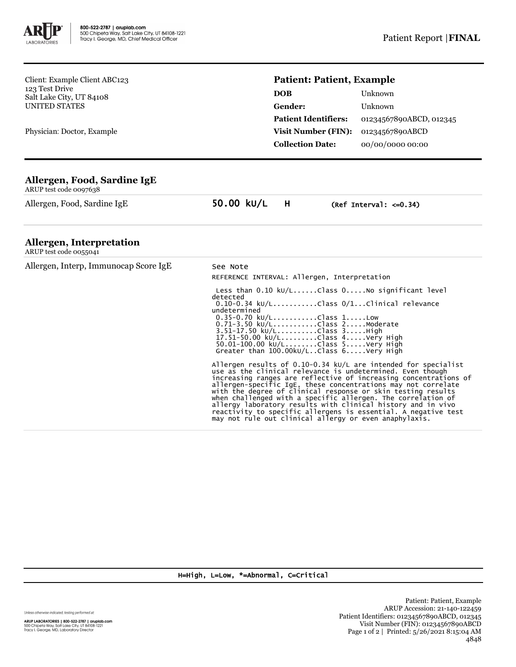

Client: Example Client ABC123 123 Test Drive Salt Lake City, UT 84108 UNITED STATES

Physician: Doctor, Example

## **Patient: Patient, Example**

| <b>DOB</b>                  | Unknown                 |
|-----------------------------|-------------------------|
| Gender:                     | Unknown                 |
| <b>Patient Identifiers:</b> | 01234567890ABCD, 012345 |
| <b>Visit Number (FIN):</b>  | 01234567890ABCD         |
| <b>Collection Date:</b>     | 00/00/0000 00:00        |
|                             |                         |

## **Allergen, Food, Sardine IgE**

ARUP test code 0097638

Allergen, Food, Sardine IgE 50.00 kU/L H (Ref Interval: <= 0.34)

## **Allergen, Interpretation**

ARUP test code 0055041

Allergen, Interp, Immunocap Score IgE See Note

REFERENCE INTERVAL: Allergen, Interpretation

 Less than 0.10 kU/L......Class 0.....No significant level detected 0.10-0.34 kU/L...........Class 0/1...Clinical relevance undetermined 0.35-0.70 kU/L...........Class 1.....Low 0.71-3.50 kU/L............Class 2.....Moderate 3.51-17.50 kU/L..........Class 3.....High 17.51-50.00 kU/L.........Class 4.....Very High 50.01-100.00 kU/L........Class 5.....Very High Greater than 100.00kU/L..Class 6.....Very High

Allergen results of 0.10-0.34 kU/L are intended for specialist use as the clinical relevance is undetermined. Even though<br>increasing ranges are reflective of increasing concentrations of<br>allergen-specific IgE, these concentrations may not correlate<br>with the degree of clinical response allergy laboratory results with clinical history and in vivo reactivity to specific allergens is essential. A negative test may not rule out clinical allergy or even anaphylaxis.

H=High, L=Low, \*=Abnormal, C=Critical

Unless otherwise indicated, testing performed at:

**ARUP LABORATORIES | 800-522-2787 | aruplab.com**<br>500 Chipeta Way, Salt Lake City, UT 84108-1221<br>Tracy I. George, MD, Laboratory Director

Patient: Patient, Example ARUP Accession: 21-140-122459 Patient Identifiers: 01234567890ABCD, 012345 Visit Number (FIN): 01234567890ABCD Page 1 of 2 | Printed: 5/26/2021 8:15:04 AM 4848